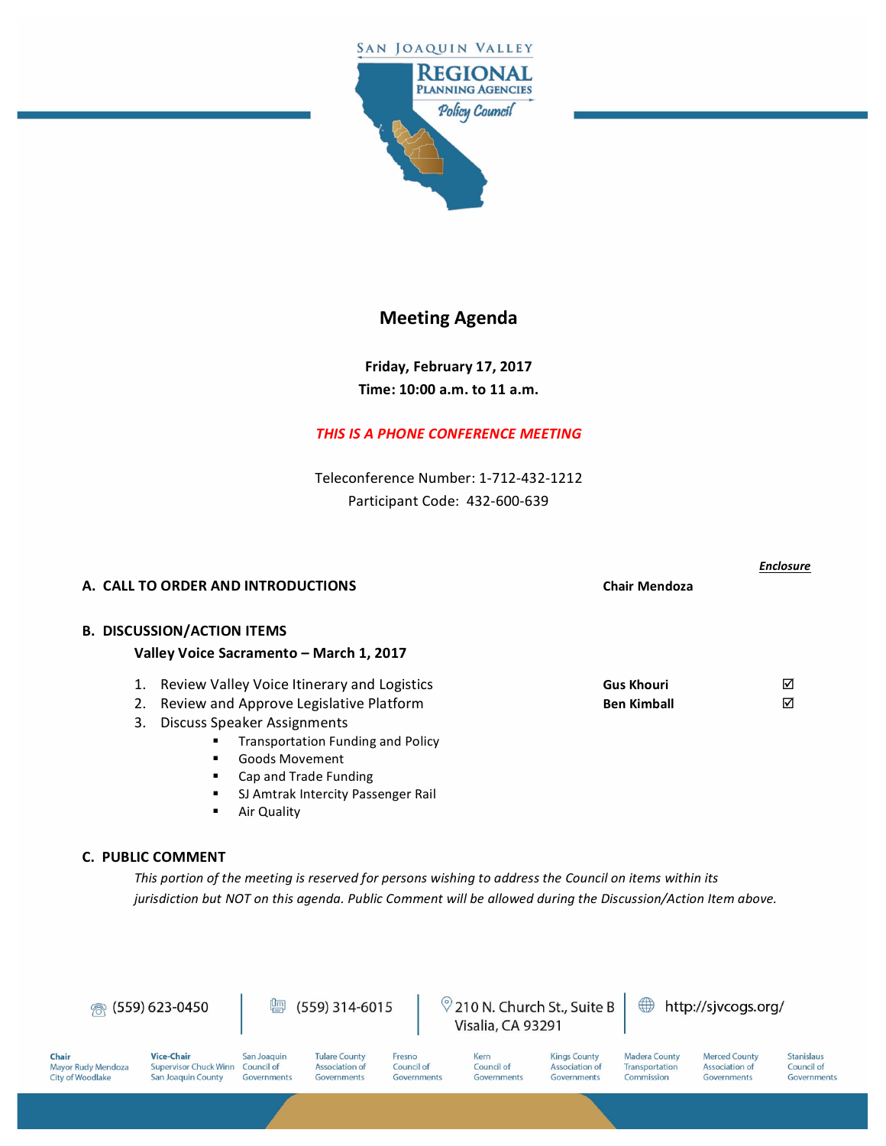

## **Meeting Agenda**

**Friday, February 17, 2017 Time: 10:00 a.m. to 11 a.m.**

## **THIS IS A PHONE CONFERENCE MEETING**

Teleconference Number: 1-712-432-1212 Participant Code: 432-600-639

| A. CALL TO ORDER AND INTRODUCTIONS |                                                                                                                                                                                                                                                                          | <b>Chair Mendoza</b>                    | Enclosure |
|------------------------------------|--------------------------------------------------------------------------------------------------------------------------------------------------------------------------------------------------------------------------------------------------------------------------|-----------------------------------------|-----------|
|                                    | <b>B. DISCUSSION/ACTION ITEMS</b><br>Valley Voice Sacramento - March 1, 2017                                                                                                                                                                                             |                                         |           |
| 1.<br>2.<br>3.                     | Review Valley Voice Itinerary and Logistics<br>Review and Approve Legislative Platform<br>Discuss Speaker Assignments<br><b>Transportation Funding and Policy</b><br><b>Goods Movement</b><br>Cap and Trade Funding<br>SJ Amtrak Intercity Passenger Rail<br>Air Quality | <b>Gus Khouri</b><br><b>Ben Kimball</b> | ⊠<br>⊠    |

## **C. PUBLIC COMMENT**

This portion of the meeting is reserved for persons wishing to address the Council on items within its jurisdiction but NOT on this agenda. Public Comment will be allowed during the Discussion/Action Item above.

◎ (559) 623-0450

● (559) 314-6015

210 N. Church St., Suite B Visalia, CA 93291

http://sjvcogs.org/

**Chair**<br>Mayor Rudy Mendoza<br>City of Woodlake

Chair

**Vice-Chair** Supervisor Chuck Winn Council of San Joaquin County

San Joaquin Governments **Tulare County** Fresno Association of Council of Governments Governments

Kern Council of Governments

**Kings County** Association of Governments

**Madera County** Transportation Association of Commission Governments

**Merced County Stanislaus** Council of Governments